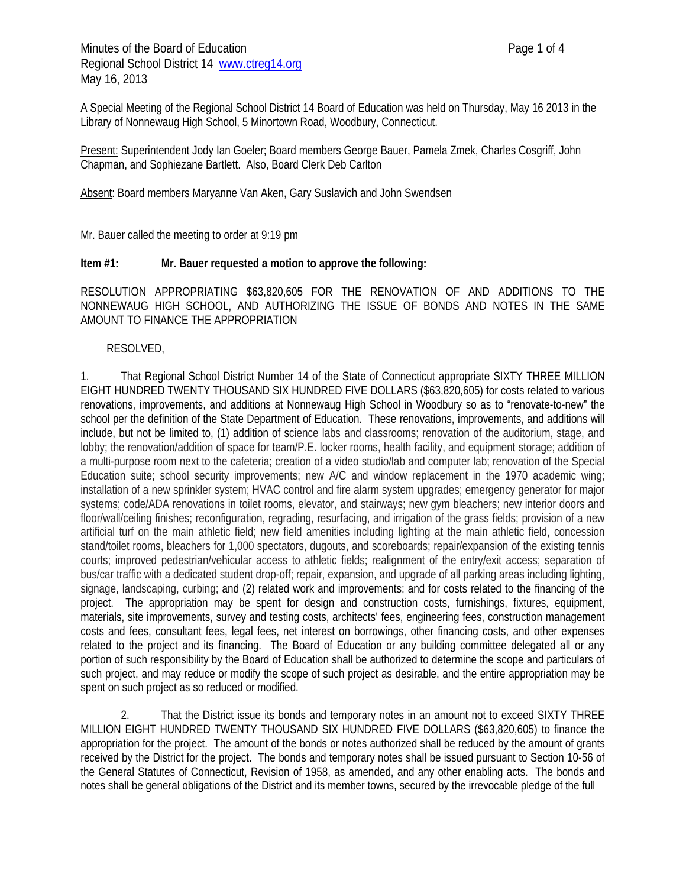Minutes of the Board of Education **Page 1 of 4** Regional School District 14 www.ctreg14.org May 16, 2013

A Special Meeting of the Regional School District 14 Board of Education was held on Thursday, May 16 2013 in the Library of Nonnewaug High School, 5 Minortown Road, Woodbury, Connecticut.

Present: Superintendent Jody Ian Goeler; Board members George Bauer, Pamela Zmek, Charles Cosgriff, John Chapman, and Sophiezane Bartlett. Also, Board Clerk Deb Carlton

Absent: Board members Maryanne Van Aken, Gary Suslavich and John Swendsen

Mr. Bauer called the meeting to order at 9:19 pm

#### **Item #1: Mr. Bauer requested a motion to approve the following:**

RESOLUTION APPROPRIATING \$63,820,605 FOR THE RENOVATION OF AND ADDITIONS TO THE NONNEWAUG HIGH SCHOOL, AND AUTHORIZING THE ISSUE OF BONDS AND NOTES IN THE SAME AMOUNT TO FINANCE THE APPROPRIATION

#### RESOLVED,

1. That Regional School District Number 14 of the State of Connecticut appropriate SIXTY THREE MILLION EIGHT HUNDRED TWENTY THOUSAND SIX HUNDRED FIVE DOLLARS (\$63,820,605) for costs related to various renovations, improvements, and additions at Nonnewaug High School in Woodbury so as to "renovate-to-new" the school per the definition of the State Department of Education. These renovations, improvements, and additions will include, but not be limited to, (1) addition of science labs and classrooms; renovation of the auditorium, stage, and lobby; the renovation/addition of space for team/P.E. locker rooms, health facility, and equipment storage; addition of a multi-purpose room next to the cafeteria; creation of a video studio/lab and computer lab; renovation of the Special Education suite; school security improvements; new A/C and window replacement in the 1970 academic wing; installation of a new sprinkler system; HVAC control and fire alarm system upgrades; emergency generator for major systems; code/ADA renovations in toilet rooms, elevator, and stairways; new gym bleachers; new interior doors and floor/wall/ceiling finishes; reconfiguration, regrading, resurfacing, and irrigation of the grass fields; provision of a new artificial turf on the main athletic field; new field amenities including lighting at the main athletic field, concession stand/toilet rooms, bleachers for 1,000 spectators, dugouts, and scoreboards; repair/expansion of the existing tennis courts; improved pedestrian/vehicular access to athletic fields; realignment of the entry/exit access; separation of bus/car traffic with a dedicated student drop-off; repair, expansion, and upgrade of all parking areas including lighting, signage, landscaping, curbing; and (2) related work and improvements; and for costs related to the financing of the project. The appropriation may be spent for design and construction costs, furnishings, fixtures, equipment, materials, site improvements, survey and testing costs, architects' fees, engineering fees, construction management costs and fees, consultant fees, legal fees, net interest on borrowings, other financing costs, and other expenses related to the project and its financing. The Board of Education or any building committee delegated all or any portion of such responsibility by the Board of Education shall be authorized to determine the scope and particulars of such project, and may reduce or modify the scope of such project as desirable, and the entire appropriation may be spent on such project as so reduced or modified.

2. That the District issue its bonds and temporary notes in an amount not to exceed SIXTY THREE MILLION EIGHT HUNDRED TWENTY THOUSAND SIX HUNDRED FIVE DOLLARS (\$63,820,605) to finance the appropriation for the project. The amount of the bonds or notes authorized shall be reduced by the amount of grants received by the District for the project. The bonds and temporary notes shall be issued pursuant to Section 10-56 of the General Statutes of Connecticut, Revision of 1958, as amended, and any other enabling acts. The bonds and notes shall be general obligations of the District and its member towns, secured by the irrevocable pledge of the full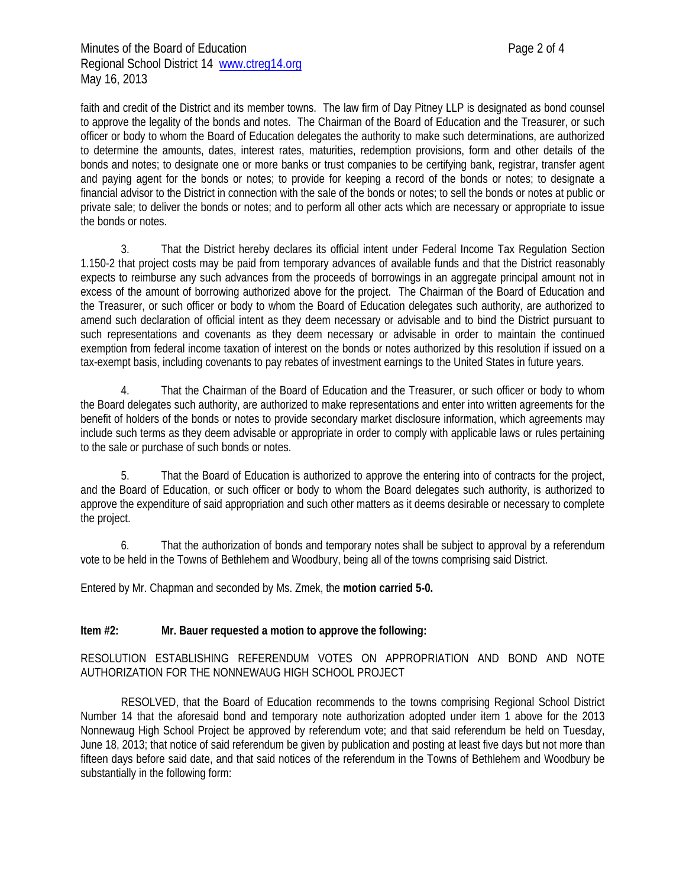faith and credit of the District and its member towns. The law firm of Day Pitney LLP is designated as bond counsel to approve the legality of the bonds and notes. The Chairman of the Board of Education and the Treasurer, or such officer or body to whom the Board of Education delegates the authority to make such determinations, are authorized to determine the amounts, dates, interest rates, maturities, redemption provisions, form and other details of the bonds and notes; to designate one or more banks or trust companies to be certifying bank, registrar, transfer agent and paying agent for the bonds or notes; to provide for keeping a record of the bonds or notes; to designate a financial advisor to the District in connection with the sale of the bonds or notes; to sell the bonds or notes at public or private sale; to deliver the bonds or notes; and to perform all other acts which are necessary or appropriate to issue the bonds or notes.

3. That the District hereby declares its official intent under Federal Income Tax Regulation Section 1.150-2 that project costs may be paid from temporary advances of available funds and that the District reasonably expects to reimburse any such advances from the proceeds of borrowings in an aggregate principal amount not in excess of the amount of borrowing authorized above for the project. The Chairman of the Board of Education and the Treasurer, or such officer or body to whom the Board of Education delegates such authority, are authorized to amend such declaration of official intent as they deem necessary or advisable and to bind the District pursuant to such representations and covenants as they deem necessary or advisable in order to maintain the continued exemption from federal income taxation of interest on the bonds or notes authorized by this resolution if issued on a tax-exempt basis, including covenants to pay rebates of investment earnings to the United States in future years.

4. That the Chairman of the Board of Education and the Treasurer, or such officer or body to whom the Board delegates such authority, are authorized to make representations and enter into written agreements for the benefit of holders of the bonds or notes to provide secondary market disclosure information, which agreements may include such terms as they deem advisable or appropriate in order to comply with applicable laws or rules pertaining to the sale or purchase of such bonds or notes.

5. That the Board of Education is authorized to approve the entering into of contracts for the project, and the Board of Education, or such officer or body to whom the Board delegates such authority, is authorized to approve the expenditure of said appropriation and such other matters as it deems desirable or necessary to complete the project.

6. That the authorization of bonds and temporary notes shall be subject to approval by a referendum vote to be held in the Towns of Bethlehem and Woodbury, being all of the towns comprising said District.

Entered by Mr. Chapman and seconded by Ms. Zmek, the **motion carried 5-0.**

### **Item #2: Mr. Bauer requested a motion to approve the following:**

### RESOLUTION ESTABLISHING REFERENDUM VOTES ON APPROPRIATION AND BOND AND NOTE AUTHORIZATION FOR THE NONNEWAUG HIGH SCHOOL PROJECT

RESOLVED, that the Board of Education recommends to the towns comprising Regional School District Number 14 that the aforesaid bond and temporary note authorization adopted under item 1 above for the 2013 Nonnewaug High School Project be approved by referendum vote; and that said referendum be held on Tuesday, June 18, 2013; that notice of said referendum be given by publication and posting at least five days but not more than fifteen days before said date, and that said notices of the referendum in the Towns of Bethlehem and Woodbury be substantially in the following form: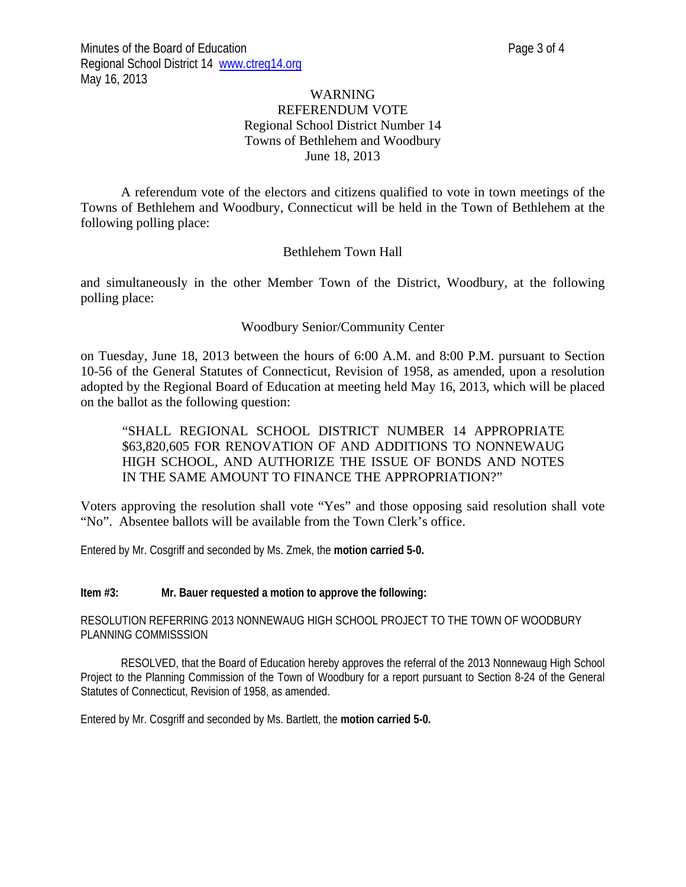# WARNING REFERENDUM VOTE Regional School District Number 14 Towns of Bethlehem and Woodbury June 18, 2013

A referendum vote of the electors and citizens qualified to vote in town meetings of the Towns of Bethlehem and Woodbury, Connecticut will be held in the Town of Bethlehem at the following polling place:

# Bethlehem Town Hall

and simultaneously in the other Member Town of the District, Woodbury, at the following polling place:

# Woodbury Senior/Community Center

on Tuesday, June 18, 2013 between the hours of 6:00 A.M. and 8:00 P.M. pursuant to Section 10-56 of the General Statutes of Connecticut, Revision of 1958, as amended, upon a resolution adopted by the Regional Board of Education at meeting held May 16, 2013, which will be placed on the ballot as the following question:

# "SHALL REGIONAL SCHOOL DISTRICT NUMBER 14 APPROPRIATE \$63,820,605 FOR RENOVATION OF AND ADDITIONS TO NONNEWAUG HIGH SCHOOL, AND AUTHORIZE THE ISSUE OF BONDS AND NOTES IN THE SAME AMOUNT TO FINANCE THE APPROPRIATION?"

Voters approving the resolution shall vote "Yes" and those opposing said resolution shall vote "No". Absentee ballots will be available from the Town Clerk's office.

Entered by Mr. Cosgriff and seconded by Ms. Zmek, the **motion carried 5-0.** 

#### **Item #3: Mr. Bauer requested a motion to approve the following:**

RESOLUTION REFERRING 2013 NONNEWAUG HIGH SCHOOL PROJECT TO THE TOWN OF WOODBURY PLANNING COMMISSSION

RESOLVED, that the Board of Education hereby approves the referral of the 2013 Nonnewaug High School Project to the Planning Commission of the Town of Woodbury for a report pursuant to Section 8-24 of the General Statutes of Connecticut, Revision of 1958, as amended.

Entered by Mr. Cosgriff and seconded by Ms. Bartlett, the **motion carried 5-0.**